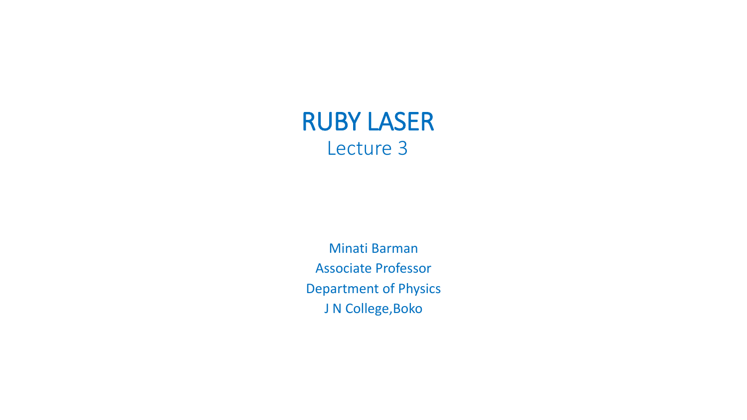

Minati Barman Associate Professor Department of Physics J N College, Boko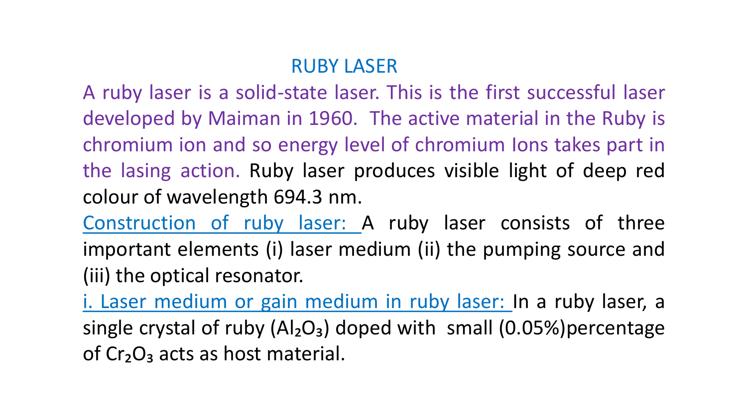## RUBY LASER

A ruby laser is a solid-state laser. This is the first successful laser developed by Maiman in 1960. The active material in the Ruby is chromium ion and so energy level of chromium Ions takes part in the lasing action. Ruby laser produces visible light of deep red colour of wavelength 694.3 nm.

Construction of ruby laser: A ruby laser consists of three important elements (i) laser medium (ii) the pumping source and (iii) the optical resonator.

i. Laser medium or gain medium in ruby laser: In a ruby laser, a single crystal of ruby  $(AI_2O_3)$  doped with small  $(0.05%)$  percentage of  $Cr<sub>2</sub>O<sub>3</sub>$  acts as host material.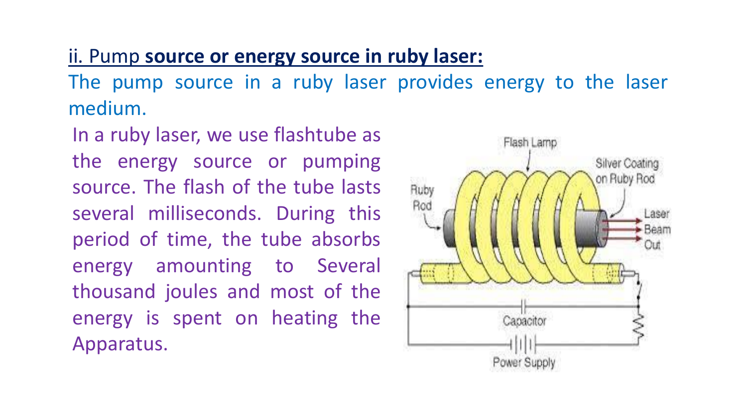## ii. Pump **source or energy source in ruby laser:**

The pump source in a ruby laser provides energy to the laser medium.

In a ruby laser, we use flashtube as the energy source or pumping source. The flash of the tube lasts several milliseconds. During this period of time, the tube absorbs energy amounting to Several thousand joules and most of the energy is spent on heating the Apparatus.

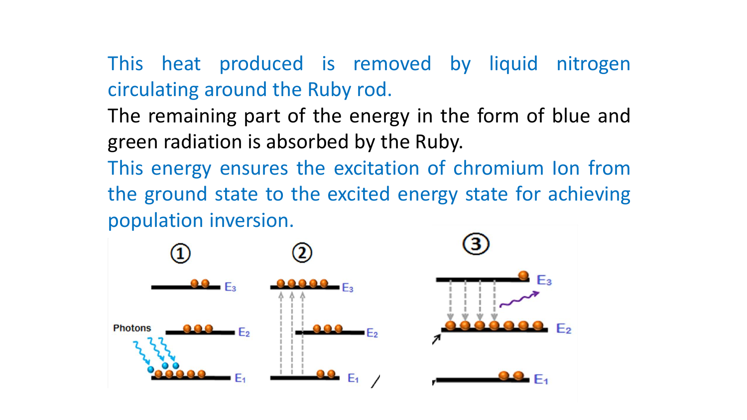This heat produced is removed by liquid nitrogen circulating around the Ruby rod.

The remaining part of the energy in the form of blue and green radiation is absorbed by the Ruby.

This energy ensures the excitation of chromium Ion from the ground state to the excited energy state for achieving population inversion.

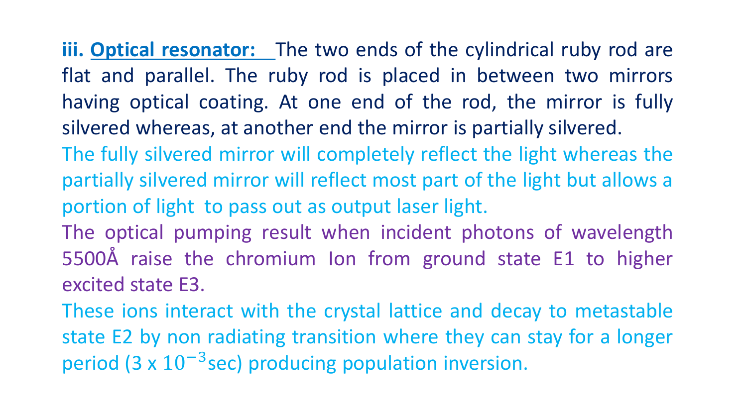**iii. Optical resonator:** The two ends of the cylindrical ruby rod are flat and parallel. The ruby rod is placed in between two mirrors having optical coating. At one end of the rod, the mirror is fully silvered whereas, at another end the mirror is partially silvered. The fully silvered mirror will completely reflect the light whereas the

- partially silvered mirror will reflect most part of the light but allows a portion of light to pass out as output laser light.
- The optical pumping result when incident photons of wavelength 5500Å raise the chromium Ion from ground state E1 to higher excited state E3.

These ions interact with the crystal lattice and decay to metastable state E2 by non radiating transition where they can stay for a longer period (3 x 10<sup>-3</sup>sec) producing population inversion.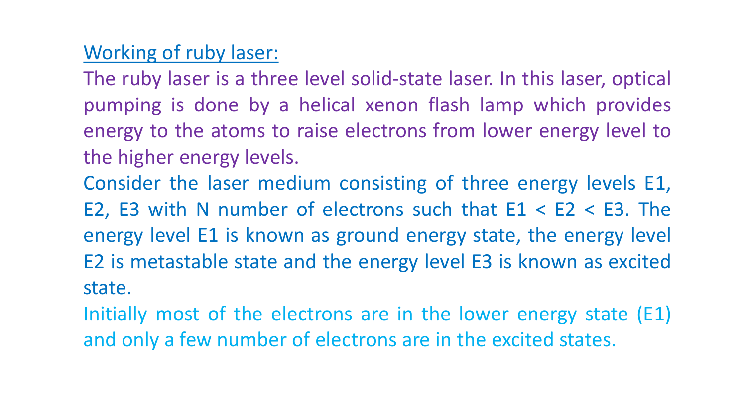## Working of ruby laser:

The ruby laser is a three level solid-state laser. In this laser, optical pumping is done by a helical xenon flash lamp which provides energy to the atoms to raise electrons from lower energy level to the higher energy levels.

Consider the laser medium consisting of three energy levels E1, E2, E3 with N number of electrons such that  $E1 < E2 < E3$ . The energy level E1 is known as ground energy state, the energy level E2 is metastable state and the energy level E3 is known as excited state.

Initially most of the electrons are in the lower energy state (E1) and only a few number of electrons are in the excited states.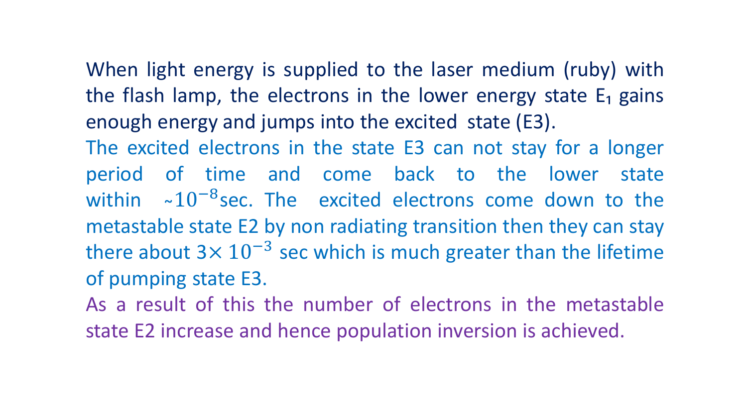When light energy is supplied to the laser medium (ruby) with the flash lamp, the electrons in the lower energy state  $E_1$  gains enough energy and jumps into the excited state (E3).

The excited electrons in the state E3 can not stay for a longer period of time and come back to the lower state within ~10<sup>-8</sup>sec. The excited electrons come down to the metastable state E2 by non radiating transition then they can stay there about  $3 \times 10^{-3}$  sec which is much greater than the lifetime of pumping state E3.

As a result of this the number of electrons in the metastable state E2 increase and hence population inversion is achieved.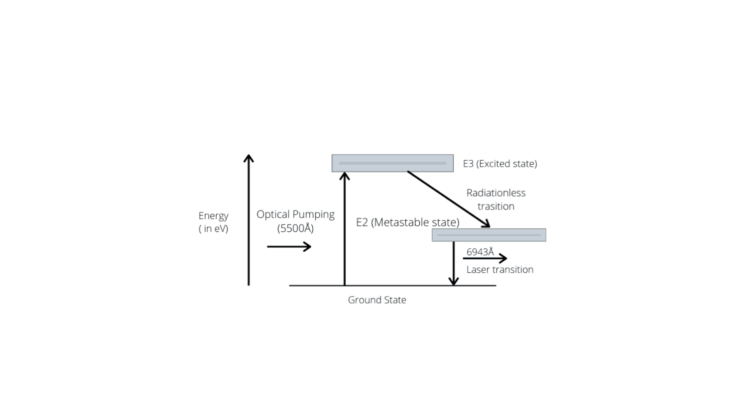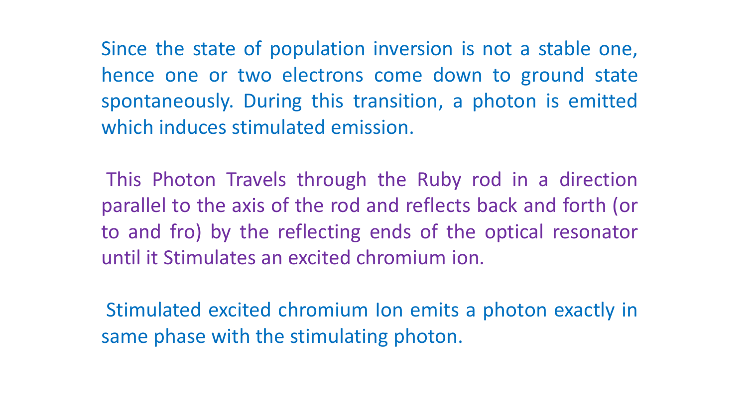Since the state of population inversion is not a stable one, hence one or two electrons come down to ground state spontaneously. During this transition, a photon is emitted which induces stimulated emission.

This Photon Travels through the Ruby rod in a direction parallel to the axis of the rod and reflects back and forth (or to and fro) by the reflecting ends of the optical resonator until it Stimulates an excited chromium ion.

Stimulated excited chromium Ion emits a photon exactly in same phase with the stimulating photon.